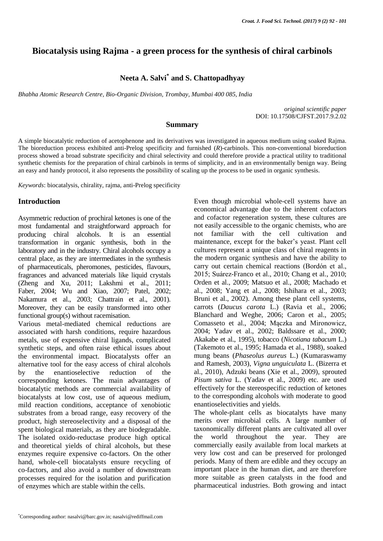# **Biocatalysis using Rajma - a green process for the synthesis of chiral carbinols**

# **Neeta A. Salvi\* and S. Chattopadhyay**

*Bhabha Atomic Research Centre, Bio-Organic Division, Trombay, Mumbai 400 085, India*

*original scientific paper* DOI: 10.17508/CJFST.2017.9.2.02

## **Summary**

A simple biocatalytic reduction of acetophenone and its derivatives was investigated in aqueous medium using soaked Rajma. The bioreduction process exhibited anti-Prelog specificity and furnished (*R*)-carbinols. This non-conventional bioreduction process showed a broad substrate specificity and chiral selectivity and could therefore provide a practical utility to traditional synthetic chemists for the preparation of chiral carbinols in terms of simplicity, and in an environmentally benign way. Being an easy and handy protocol, it also represents the possibility of scaling up the process to be used in organic synthesis.

*Keywords*: biocatalysis, chirality, rajma, anti-Prelog specificity

# **Introduction**

Asymmetric reduction of prochiral ketones is one of the most fundamental and straightforward approach for producing chiral alcohols. It is an essential transformation in organic synthesis, both in the laboratory and in the industry. Chiral alcohols occupy a central place, as they are intermediates in the synthesis of pharmaceuticals, pheromones, pesticides, flavours, fragrances and advanced materials like liquid crystals (Zheng and Xu, 2011; Lakshmi et al., 2011; Faber, 2004; Wu and Xiao, 2007; Patel, 2002; Nakamura et al., 2003; Chattrain et al., 2001). Moreover, they can be easily transformed into other functional group(s) without racemisation.

Various metal-mediated chemical reductions are associated with harsh conditions, require hazardous metals, use of expensive chiral ligands, complicated synthetic steps, and often raise ethical issues about the environmental impact. Biocatalysts offer an alternative tool for the easy access of chiral alcohols by the enantioselective reduction of the corresponding ketones. The main advantages of biocatalytic methods are commercial availability of biocatalysts at low cost, use of aqueous medium, mild reaction conditions, acceptance of xenobiotic substrates from a broad range, easy recovery of the product, high stereoselectivity and a disposal of the spent biological materials, as they are biodegradable. The isolated oxido-reductase produce high optical and theoretical yields of chiral alcohols, but these enzymes require expensive co-factors. On the other hand, whole-cell biocatalysts ensure recycling of co-factors, and also avoid a number of downstream processes required for the isolation and purification of enzymes which are stable within the cells.

Even though microbial whole-cell systems have an economical advantage due to the inherent cofactors and cofactor regeneration system, these cultures are not easily accessible to the organic chemists, who are not familiar with the cell cultivation and maintenance, except for the baker's yeast. Plant cell cultures represent a unique class of chiral reagents in the modern organic synthesis and have the ability to carry out certain chemical reactions (Bordón et al., 2015; Suárez-Franco et al., 2010; Chang et al., 2010; Orden et al., 2009; Matsuo et al., 2008; Machado et al., 2008; Yang et al., 2008; Ishihara et al., 2003; Bruni et al., 2002). Among these plant cell systems, carrots (*Daucus carota* L.) (Ravia et al., 2006; Blanchard and Weghe, 2006; Caron et al., 2005; Comasseto et al., 2004; Mączka and Mironowicz, 2004; Yadav et al., 2002; Baldssare et al., 2000; Akakabe et al., 1995), tobacco (*Nicotiana tabacum* L.) (Takemoto et al., 1995; Hamada et al., 1988), soaked mung beans (*Phaseolus aureus* L.) (Kumaraswamy and Ramesh, 2003), *Vigna unguiculata* L. (Bizerra et al., 2010), Adzuki beans (Xie et al., 2009), sprouted *Pisum sativa* L. (Yadav et al., 2009) etc. are used effectively for the stereospecific reduction of ketones to the corresponding alcohols with moderate to good enantioselectivities and yields.

The whole-plant cells as biocatalyts have many merits over microbial cells. A large number of taxonomically different plants are cultivated all over the world throughout the year. They are commercially easily available from local markets at very low cost and can be preserved for prolonged periods. Many of them are edible and they occupy an important place in the human diet, and are therefore more suitable as green catalysts in the food and pharmaceutical industries. Both growing and intact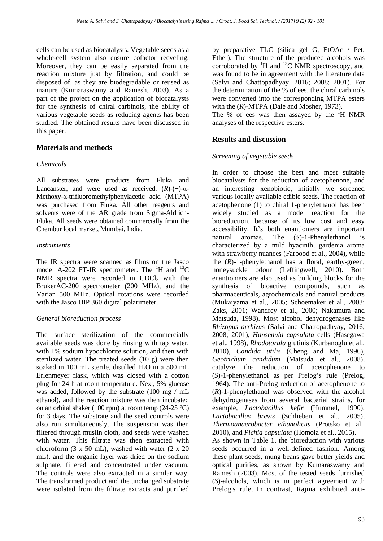cells can be used as biocatalysts. Vegetable seeds as a whole-cell system also ensure cofactor recycling. Moreover, they can be easily separated from the reaction mixture just by filtration, and could be disposed of, as they are biodegradable or reused as manure (Kumaraswamy and Ramesh, 2003). As a part of the project on the application of biocatalysts for the synthesis of chiral carbinols, the ability of various vegetable seeds as reducing agents has been studied. The obtained results have been discussed in this paper.

# **Materials and methods**

## *Chemicals*

All substrates were products from Fluka and Lancanster, and were used as received.  $(R)-(+)$ -α-Methoxy-α-trifluoromethylphenylacetic acid (MTPA) was purchased from Fluka. All other reagents and solvents were of the AR grade from Sigma-Aldrich-Fluka. All seeds were obtained commercially from the Chembur local market, Mumbai, India.

## *Instruments*

The IR spectra were scanned as films on the Jasco model A-202 FT-IR spectrometer. The  $H$  and  $H^3C$ NMR spectra were recorded in  $CDCl<sub>3</sub>$  with the BrukerAC-200 spectrometer (200 MHz), and the Varian 500 MHz. Optical rotations were recorded with the Jasco DIP 360 digital polarimeter.

## *General bioreduction process*

The surface sterilization of the commercially available seeds was done by rinsing with tap water, with 1% sodium hypochlorite solution, and then with sterilized water. The treated seeds (10 g) were then soaked in 100 mL sterile, distilled  $H_2O$  in a 500 mL Erlenmeyer flask, which was closed with a cotton plug for 24 h at room temperature. Next, 5% glucose was added, followed by the substrate (100 mg / mL ethanol), and the reaction mixture was then incubated on an orbital shaker (100 rpm) at room temp (24-25 °C) for 3 days. The substrate and the seed controls were also run simultaneously. The suspension was then filtered through muslin cloth, and seeds were washed with water. This filtrate was then extracted with chloroform  $(3 \times 50 \text{ mL})$ , washed with water  $(2 \times 20)$ mL), and the organic layer was dried on the sodium sulphate, filtered and concentrated under vacuum. The controls were also extracted in a similar way. The transformed product and the unchanged substrate were isolated from the filtrate extracts and purified by preparative TLC (silica gel G, EtOAc / Pet. Ether). The structure of the produced alcohols was corroborated by  ${}^{1}$ H and  ${}^{13}$ C NMR spectroscopy, and was found to be in agreement with the literature data (Salvi and Chattopadhyay, 2016; 2008; 2001). For the determination of the % of ees, the chiral carbinols were converted into the corresponding MTPA esters with the  $(R)$ -MTPA (Dale and Mosher, 1973).

The % of ees was then assayed by the  ${}^{1}H$  NMR analyses of the respective esters.

# **Results and discussion**

## *Screening of vegetable seeds*

In order to choose the best and most suitable biocatalysts for the reduction of acetophenone, and an interesting xenobiotic, initially we screened various locally available edible seeds. The reaction of acetophenone (1) to chiral 1-phenylethanol has been widely studied as a model reaction for the bioreduction, because of its low cost and easy accessibility. It's both enantiomers are important natural aromas. The (*S*)-1-Phenylethanol is characterized by a mild hyacinth, gardenia aroma with strawberry nuances (Farbood et al., 2004), while the (*R*)-1-phenylethanol has a floral, earthy-green, honeysuckle odour (Leffingwell, 2010). Both enantiomers are also used as building blocks for the synthesis of bioactive compounds, such as pharmaceuticals, agrochemicals and natural products (Mukaiyama et al., 2005; Schoemaker et al., 2003; Zaks, 2001; Wandrey et al., 2000; Nakamura and Matsuda, 1998). Most alcohol dehydrogenases like *Rhizopus arrhizus* (Salvi and Chattopadhyay, 2016; 2008; 2001), *Hansenula capsulata* cells (Hasegawa et al., 1998), *Rhodotorula* glutinis (Kurbanoglu et al., 2010), *Candida utilis* (Cheng and Ma, 1996), *Geotrichum candidum* (Matsuda et al., 2008), catalyze the reduction of acetophenone to (*S*)-1-phenylethanol as per Prelog's rule (Prelog, 1964). The anti-Prelog reduction of acetophenone to (*R*)-1-phenylethanol was observed with the alcohol dehydrogenases from several bacterial strains, for example, *Lactobacillus kefir* (Hummel, 1990), *Lactobacillus brevis* (Schlieben et al., 2005), *Thermoanaerobacter ethanolicus* (Protsko et al., 2010), and *Pichia capsulata* (Homola et al., 2015). As shown in Table 1, the bioreduction with various seeds occurred in a well-defined fashion. Among these plant seeds, mung beans gave better yields and optical purities, as shown by Kumaraswamy and Ramesh (2003). Most of the tested seeds furnished (*S*)-alcohols, which is in perfect agreement with

Prelog's rule. In contrast, Rajma exhibited anti-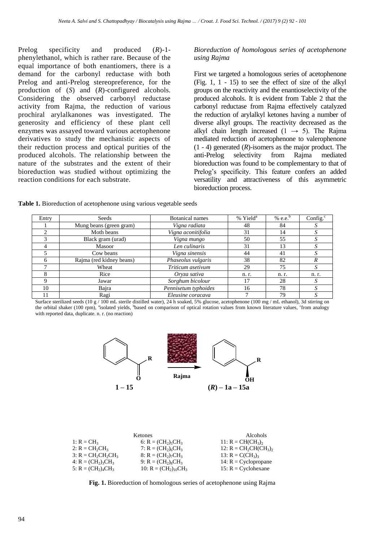Prelog specificity and produced (*R*)-1 phenylethanol, which is rather rare. Because of the equal importance of both enantiomers, there is a demand for the carbonyl reductase with both Prelog and anti-Prelog stereopreference, for the production of (*S*) and (*R*)-configured alcohols. Considering the observed carbonyl reductase activity from Rajma, the reduction of various prochiral arylalkanones was investigated. The generosity and efficiency of these plant cell enzymes was assayed toward various acetophenone derivatives to study the mechanistic aspects of their reduction process and optical purities of the produced alcohols. The relationship between the nature of the substrates and the extent of their bioreduction was studied without optimizing the reaction conditions for each substrate.

### *Bioreduction of homologous series of acetophenone using Rajma*

First we targeted a homologous series of acetophenone (Fig. 1, 1 - 15) to see the effect of size of the alkyl groups on the reactivity and the enantioselectivity of the produced alcohols. It is evident from Table 2 that the carbonyl reductase from Rajma effectively catalyzed the reduction of arylalkyl ketones having a number of diverse alkyl groups. The reactivity decreased as the alkyl chain length increased  $(1 \rightarrow 5)$ . The Rajma mediated reduction of acetophenone to valerophenone  $(1 - 4)$  generated  $(R)$ -isomers as the major product. The anti-Prelog selectivity from Rajma mediated bioreduction was found to be complementary to that of Prelog's specificity. This feature confers an added versatility and attractiveness of this asymmetric bioreduction process.

| <b>Table 1.</b> Bioreduction of acetophenone using various vegetable seeds |  |  |  |
|----------------------------------------------------------------------------|--|--|--|
|----------------------------------------------------------------------------|--|--|--|

| Entry | Seeds                    | <b>Botanical names</b> | % Yield <sup>a</sup> | % e.e. $b$ | Config. $\degree$ |
|-------|--------------------------|------------------------|----------------------|------------|-------------------|
|       | Mung beans (green gram)  | Vigna radiata          | 48                   | 84         |                   |
|       | Moth beans               | Vigna aconitifolia     | 31                   | 14         |                   |
|       | Black gram (urad)        | Vigna mungo            | 50                   | 55         |                   |
|       | Masoor                   | Len culinaris          | 31                   | 13         |                   |
|       | Cow beans                | Vigna sinensis         | 44                   | 41         |                   |
|       | Rajma (red kidney beans) | Phaseolus vulgaris     | 38                   | 82         |                   |
|       | Wheat                    | Triticum asetivum      | 29                   | 75         |                   |
| 8     | Rice                     | Oryza sativa           | n. r.                | n. r.      | n. r.             |
| Q     | Jawar                    | Sorghum bicolour       | 17                   | 28         |                   |
| 10    | Bajra                    | Pennisetum typhoides   | 16                   | 78         |                   |
|       | Ragi                     | Eleusine coracava      |                      | 79         |                   |

Surface sterilized seeds (10 g / 100 mL sterile distilled water), 24 h soaked, 5% glucose, acetophenone (100 mg / mL ethanol), 3d stirring on the orbital shaker (100 rpm), "isolated yields, "based on comparison of optical rotation values from known literature values, "from analogy with reported data, duplicate. n. r. (no reaction)



| <b>Ketones</b>            | Alcohols                 |
|---------------------------|--------------------------|
| 6: $R = (CH_2)_{5}CH_3$   | 11: $R = CH(CH_3)$       |
| 7: $R = (CH_2)_6CH_3$     | 12: $R = CH_2CH(CH_3)$ , |
| $8: R = (CH_2)_7CH_3$     | 13: $R = C(CH_3)_3$      |
| 9: $R = (CH_2)_8CH_3$     | 14: $R = Cyclopropane$   |
| 10: $R = (CH_2)_{10}CH_3$ | 15: $R = Cyclohexane$    |
|                           |                          |

**Fig. 1.** Bioreduction of homologous series of acetophenone using Rajma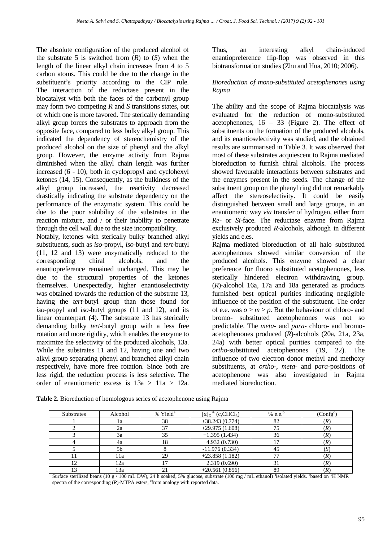The absolute configuration of the produced alcohol of the substrate 5 is switched from  $(R)$  to  $(S)$  when the length of the linear alkyl chain increases from 4 to 5 carbon atoms. This could be due to the change in the substituent's priority according to the CIP rule. The interaction of the reductase present in the biocatalyst with both the faces of the carbonyl group may form two competing *R* and *S* transitions states, out of which one is more favored. The sterically demanding alkyl group forces the substrates to approach from the opposite face, compared to less bulky alkyl group. This indicated the dependency of stereochemistry of the produced alcohol on the size of phenyl and the alkyl group. However, the enzyme activity from Rajma diminished when the alkyl chain length was further increased (6 - 10), both in cyclopropyl and cyclohexyl ketones (14, 15). Consequently, as the bulkiness of the alkyl group increased, the reactivity decreased drastically indicating the substrate dependency on the performance of the enzymatic system. This could be due to the poor solubility of the substrates in the reaction mixture, and / or their inability to penetrate through the cell wall due to the size incompatibility.

Notably, ketones with sterically bulky branched alkyl substituents, such as *iso*-propyl, *iso*-butyl and *tert*-butyl (11, 12 and 13) were enzymatically reduced to the corresponding chiral alcohols, and the enantiopreference remained unchanged. This may be due to the structural properties of the ketones themselves. Unexpectedly, higher enantioselectivity was obtained towards the reduction of the substrate 13, having the *tert*-butyl group than those found for *iso*-propyl and *iso*-butyl groups (11 and 12), and its linear counterpart (4). The substrate 13 has sterically demanding bulky *tert*-butyl group with a less free rotation and more rigidity, which enables the enzyme to maximize the selectivity of the produced alcohols, 13a. While the substrates 11 and 12, having one and two alkyl group separating phenyl and branched alkyl chain respectively, have more free rotation. Since both are less rigid, the reduction process is less selective. The order of enantiomeric excess is 13a > 11a > 12a.

Thus, an interesting alkyl chain-induced enantiopreference flip-flop was observed in this biotransformation studies (Zhu and Hua, 2010; 2006).

### *Bioreduction of mono-substituted acetophenones using Rajma*

The ability and the scope of Rajma biocatalysis was evaluated for the reduction of mono-substituted acetophenones, 16 – 33 (Figure 2). The effect of substituents on the formation of the produced alcohols, and its enantioselectivity was studied, and the obtained results are summarised in Table 3. It was observed that most of these substrates acquiescent to Rajma mediated bioreduction to furnish chiral alcohols. The process showed favourable interactions between substrates and the enzymes present in the seeds. The change of the substituent group on the phenyl ring did not remarkably affect the stereoselectivity. It could be easily distinguished between small and large groups, in an enantiomeric way *via* transfer of hydrogen, either from *Re*- or *Si*-face. The reductase enzyme from Rajma exclusively produced *R*-alcohols, although in different yields and e.es.

Rajma mediated bioreduction of all halo substituted acetophenones showed similar conversion of the produced alcohols. This enzyme showed a clear preference for fluoro substituted acetophenones, less sterically hindered electron withdrawing group. (*R*)-alcohol 16a, 17a and 18a generated as products furnished best optical purities indicating negligible influence of the position of the substituent. The order of e.e. was  $o > m > p$ . But the behaviour of chloro- and bromo- substituted acetophenones was not so predictable. The *meta-* and *para*- chloro- and bromoacetophenones produced (*R*)-alcohols (20a, 21a, 23a, 24a) with better optical purities compared to the *ortho*-substituted acetophenones (19, 22). The influence of two electron donor methyl and methoxy substituents, at *ortho*-, *meta*- and *para*-positions of acetophenone was also investigated in Rajma mediated bioreduction.

| <b>Substrates</b> | Alcohol        | % Yield <sup>a</sup> | $\left[\alpha\right]_{\text{D}}^{26}$ (c,CHCl <sub>3</sub> ) | $%$ e.e. <sup><math>t</math></sup> | (Config <sup>c</sup> ) |
|-------------------|----------------|----------------------|--------------------------------------------------------------|------------------------------------|------------------------|
|                   | 1a             | 38                   | $+38.243(0.774)$                                             | 82                                 | (R)                    |
|                   | 2a             | 37                   | $+29.975(1.608)$                                             | 75                                 | (R)                    |
|                   | 3a             | 35                   | $+1.395(1.434)$                                              | 36                                 | (R)                    |
|                   | 4a             | 18                   | $+4.932(0.730)$                                              |                                    | (R)                    |
|                   | 5 <sub>b</sub> |                      | $-11.976(0.334)$                                             | 45                                 | (S                     |
|                   | 11a            | 29                   | $+23.858(1.182)$                                             | 77                                 | (R)                    |
|                   | 12a            |                      | $+2.319(0.690)$                                              | 31                                 | (R)                    |
|                   | 13a            |                      | $+20.561(0.856)$                                             | 89                                 | (R)                    |

**Table 2.** Bioreduction of homologous series of acetophenone using Rajma

Surface sterilized beans (10 g / 100 mL DW), 24 h soaked, 5% glucose, substrate (100 mg / mL ethanol) "isolated yields. "based on <sup>1</sup>H NMR spectra of the corresponding  $(R)$ -MTPA esters, <sup>c</sup>from analogy with reported data.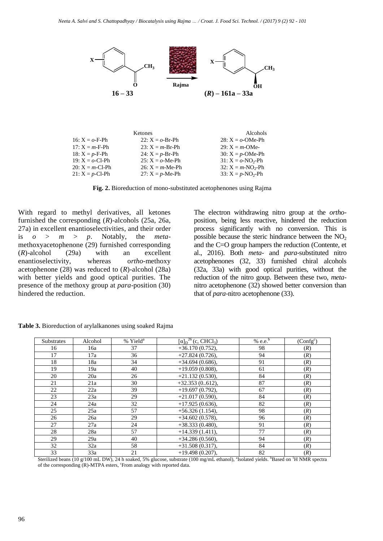

**Fig. 2.** Bioreduction of mono-substituted acetophenones using Rajma

The electron withdrawing nitro group at the *ortho*position, being less reactive, hindered the reduction process significantly with no conversion. This is possible because the steric hindrance between the  $NO<sub>2</sub>$ and the C=O group hampers the reduction (Contente, et al., 2016). Both *meta*- and *para*-substituted nitro acetophenones (32, 33) furnished chiral alcohols (32a, 33a) with good optical purities, without the reduction of the nitro goup. Between these two, *meta*nitro acetophenone (32) showed better conversion than that of *para*-nitro acetophenone (33).

|                         |                         | $16 - 33$                                                                                                                                                                                                                    | Rajma<br>$(R) - 161a - 33a$                                                 | OН                                                                                                |                        |
|-------------------------|-------------------------|------------------------------------------------------------------------------------------------------------------------------------------------------------------------------------------------------------------------------|-----------------------------------------------------------------------------|---------------------------------------------------------------------------------------------------|------------------------|
|                         |                         |                                                                                                                                                                                                                              |                                                                             |                                                                                                   |                        |
|                         | 16: $X = \rho$ -F-Ph    | Ketones<br>22: $X = \rho - Br - Ph$                                                                                                                                                                                          |                                                                             | Alcohols<br>28: $X = \omega$ -OMe-Ph                                                              |                        |
|                         | $17: X = m-F-Ph$        | 23: $X = m-Br-Ph$                                                                                                                                                                                                            |                                                                             | 29: $X = m$ -OMe-                                                                                 |                        |
|                         | 18: $X = p - F - Ph$    | 24: $X = p - Br - Ph$                                                                                                                                                                                                        |                                                                             | 30: $X = p$ -OMe-Ph                                                                               |                        |
|                         | 19: $X = \omega$ -Cl-Ph | 25: $X = 0$ -Me-Ph                                                                                                                                                                                                           |                                                                             | 31: $X = \omega - NO_2 - Ph$                                                                      |                        |
|                         | $20: X = m - C1 - Ph$   | 26: $X = m$ -Me-Ph                                                                                                                                                                                                           |                                                                             | 32: $X = m-NO_2-Ph$                                                                               |                        |
|                         | 21: $X = p$ -Cl-Ph      | 27: $X = p$ -Me-Ph                                                                                                                                                                                                           |                                                                             | 33: $X = p-NO_2-Ph$                                                                               |                        |
|                         |                         | Fig. 2. Bioreduction of mono-substituted acetophenones using Rajma                                                                                                                                                           |                                                                             |                                                                                                   |                        |
|                         |                         | With regard to methyl derivatives, all ketones                                                                                                                                                                               |                                                                             | The electron withdrawing nitro group at the                                                       |                        |
|                         |                         | furnished the corresponding $(R)$ -alcohols $(25a, 26a,$                                                                                                                                                                     |                                                                             | position, being less reactive, hindered the red                                                   |                        |
|                         |                         | 27a) in excellent enantioselectivities, and their order                                                                                                                                                                      |                                                                             | process significantly with no conversion. The                                                     |                        |
| $\overline{o}$<br>$>$ m | > p.                    | Notably,<br>the<br>meta-                                                                                                                                                                                                     |                                                                             | possible because the steric hindrance between the                                                 |                        |
|                         |                         | methoxyacetophenone (29) furnished corresponding                                                                                                                                                                             |                                                                             | and the $C=O$ group hampers the reduction (Conter                                                 |                        |
| $(R)$ -alcohol          | with<br>(29a)           | excellent<br>an                                                                                                                                                                                                              |                                                                             | al., 2016). Both <i>meta</i> - and <i>para</i> -substituted                                       |                        |
| enantioselectivity,     | whereas                 | ortho-methoxy                                                                                                                                                                                                                |                                                                             | acetophenones (32, 33) furnished chiral alco                                                      |                        |
|                         |                         | acetophenone (28) was reduced to $(R)$ -alcohol (28a)                                                                                                                                                                        |                                                                             | (32a, 33a) with good optical purities, withou                                                     |                        |
|                         |                         | with better yields and good optical purities. The                                                                                                                                                                            |                                                                             | reduction of the nitro goup. Between these two,                                                   |                        |
|                         |                         |                                                                                                                                                                                                                              |                                                                             |                                                                                                   |                        |
| hindered the reduction. |                         | presence of the methoxy group at para-position (30)                                                                                                                                                                          |                                                                             | nitro acetophenone (32) showed better conversion<br>that of <i>para</i> -nitro acetophenone (33). |                        |
|                         |                         | Table 3. Bioreduction of arylalkanones using soaked Rajma                                                                                                                                                                    |                                                                             |                                                                                                   |                        |
| Substrates              | Alcohol                 |                                                                                                                                                                                                                              |                                                                             | % e.e. $b$                                                                                        |                        |
| 16                      | 16a                     | % Yiel $\overline{d^a}$<br>37                                                                                                                                                                                                | $\overline{[\alpha]_{D}}^{26}$ (c, CHCl <sub>3</sub> )<br>$+36.170(0.752),$ | 98                                                                                                | (R)                    |
| 17                      | 17a                     | 36                                                                                                                                                                                                                           | $+27.824(0.726),$                                                           | 94                                                                                                | (R)                    |
| 18                      | 18a                     | $\overline{34}$                                                                                                                                                                                                              | $+34.694(0.686),$                                                           | 91                                                                                                | (R)                    |
| 19                      | 19a                     | 40                                                                                                                                                                                                                           | $+19.059(0.808),$                                                           | 61<br>84                                                                                          | (R)                    |
| 20<br>21                | 20a<br>21a              | 26<br>$30\,$                                                                                                                                                                                                                 | $+21.132(0.530),$<br>$+32.353(0.612),$                                      | 87                                                                                                | (R)<br>(R)             |
| 22                      | 22a                     | 39                                                                                                                                                                                                                           | $+19.697(0.792),$                                                           | 67                                                                                                | (R)                    |
| $23\,$                  | 23a                     | 29                                                                                                                                                                                                                           | $+21.017(0.590),$                                                           | 84                                                                                                | (R)                    |
| 24                      | 24a                     | $\overline{32}$                                                                                                                                                                                                              | $+17.925(0.636),$                                                           | 82                                                                                                | (R)                    |
| $\overline{25}$         | 25a                     | 57                                                                                                                                                                                                                           | $+56.326(1.154),$                                                           | 98                                                                                                | (R)                    |
| $26\,$<br>27            | 26a<br>27a              | 29<br>24                                                                                                                                                                                                                     | $+34.602(0.578),$<br>$+38.333(0.480),$                                      | 96<br>91                                                                                          | (R)<br>(R)             |
| 28                      | 28a                     | 57                                                                                                                                                                                                                           | $+14.339(1.411),$                                                           | 77                                                                                                | (R)                    |
| 29                      | 29a                     | 40                                                                                                                                                                                                                           | $+34.286(0.560),$                                                           | 94                                                                                                | (R)                    |
| 32                      | 32a                     | 58                                                                                                                                                                                                                           | $\overline{+31.508}$ (0.317),                                               | 84                                                                                                |                        |
| 33                      | 33a                     | $\overline{21}$                                                                                                                                                                                                              | $+19.498(0.207),$                                                           | 82                                                                                                | (R)                    |
|                         |                         | Sterilized beans (10 g/100 mL DW), 24 h soaked, 5% glucose, substrate (100 mg/mL ethanol), "Isolated yields. "Based on <sup>1</sup> H NMR spectra<br>of the corresponding (R)-MTPA esters, 'From analogy with reported data. |                                                                             |                                                                                                   | (R)                    |
|                         |                         |                                                                                                                                                                                                                              |                                                                             |                                                                                                   |                        |
|                         |                         |                                                                                                                                                                                                                              |                                                                             |                                                                                                   |                        |
|                         |                         |                                                                                                                                                                                                                              |                                                                             |                                                                                                   | (Config <sup>c</sup> ) |

**Table 3.** Bioreduction of arylalkanones using soaked Rajma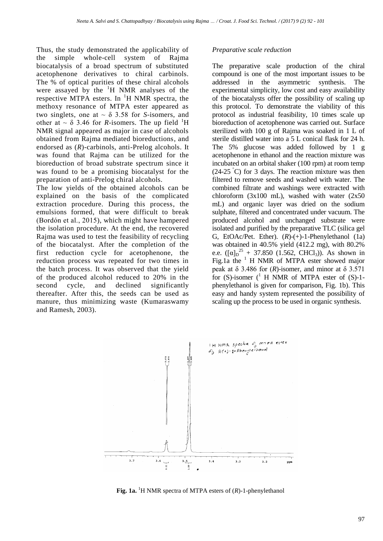Thus, the study demonstrated the applicability of the simple whole-cell system of Rajma biocatalysis of a broad spectrum of substituted acetophenone derivatives to chiral carbinols. The % of optical purities of these chiral alcohols were assayed by the  $H$  NMR analyses of the respective MTPA esters. In  ${}^{1}H$  NMR spectra, the methoxy resonance of MTPA ester appeared as two singlets, one at  $\sim \delta$  3.58 for *S*-isomers, and other at  $\sim \delta$  3.46 for *R*-isomers. The up field <sup>1</sup>H NMR signal appeared as major in case of alcohols obtained from Rajma mediated bioreductions, and endorsed as (*R*)-carbinols, anti-Prelog alcohols. It was found that Rajma can be utilized for the bioreduction of broad substrate spectrum since it was found to be a promising biocatalyst for the preparation of anti-Prelog chiral alcohols.

The low yields of the obtained alcohols can be explained on the basis of the complicated extraction procedure. During this process, the emulsions formed, that were difficult to break (Bordón et al., 2015), which might have hampered the isolation procedure. At the end, the recovered Rajma was used to test the feasibility of recycling of the biocatalyst. After the completion of the first reduction cycle for acetophenone, the reduction process was repeated for two times in the batch process. It was observed that the yield of the produced alcohol reduced to 20% in the second cycle, and declined significantly thereafter. After this, the seeds can be used as manure, thus minimizing waste (Kumaraswamy and Ramesh, 2003).

#### *Preparative scale reduction*

The preparative scale production of the chiral compound is one of the most important issues to be addressed in the asymmetric synthesis. The experimental simplicity, low cost and easy availability of the biocatalysts offer the possibility of scaling up this protocol. To demonstrate the viability of this protocol as industrial feasibility, 10 times scale up bioreduction of acetophenone was carried out. Surface sterilized with 100 g of Rajma was soaked in 1 L of sterile distilled water into a 5 L conical flask for 24 h. The 5% glucose was added followed by 1 g acetophenone in ethanol and the reaction mixture was incubated on an orbital shaker (100 rpm) at room temp  $(24-25 \text{ }^{\circ}\text{C})$  for 3 days. The reaction mixture was then filtered to remove seeds and washed with water. The combined filtrate and washings were extracted with chloroform (3x100 mL), washed with water (2x50 mL) and organic layer was dried on the sodium sulphate, filtered and concentrated under vacuum. The produced alcohol and unchanged substrate were isolated and purified by the preparative TLC (silica gel G, EtOAc/Pet. Ether). (*R*)-(+)-1-Phenylethanol (1a) was obtained in 40.5% yield (412.2 mg), with 80.2% e.e.  $([\alpha]_{D}^{25} + 37.850$  (1.562, CHCl<sub>3</sub>)). As shown in Fig.1a the  $1$  H NMR of MTPA ester showed major peak at  $\delta$  3.486 for (*R*)-isomer, and minor at  $\delta$  3.571 for  $(S)$ -isomer  $($ <sup>1</sup> H NMR of MTPA ester of  $(S)$ -1phenylethanol is given for comparison, Fig. 1b). This easy and handy system represented the possibility of scaling up the process to be used in organic synthesis.



Fig. 1a. <sup>1</sup>H NMR spectra of MTPA esters of (R)-1-phenylethanol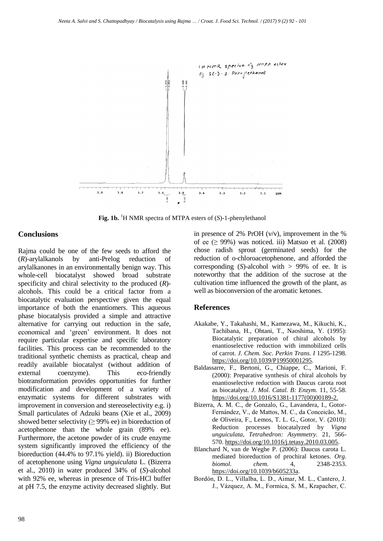

**Fig. 1b.** <sup>1</sup>H NMR spectra of MTPA esters of (*S*)-1-phenylethanol

## **Conclusions**

Rajma could be one of the few seeds to afford the (*R*)-arylalkanols by anti-Prelog reduction of arylalkanones in an environmentally benign way. This whole-cell biocatalyst showed broad substrate specificity and chiral selectivity to the produced (*R*) alcohols. This could be a critical factor from a biocatalytic evaluation perspective given the equal importance of both the enantiomers. This aqueous phase biocatalysis provided a simple and attractive alternative for carrying out reduction in the safe, economical and 'green' environment. It does not require particular expertise and specific laboratory facilities. This process can be recommended to the traditional synthetic chemists as practical, cheap and readily available biocatalyst (without addition of external coenzyme). This eco-friendly biotransformation provides opportunities for further modification and development of a variety of enzymatic systems for different substrates with improvement in conversion and stereoselectivity e.g. i) Small particulates of Adzuki beans (Xie et al., 2009) showed better selectivity ( $\geq$  99% ee) in bioreduction of acetophenone than the whole grain (89% ee). Furthermore, the acetone powder of its crude enzyme system significantly improved the efficiency of the bioreduction (44.4% to 97.1% yield). ii) Bioreduction of acetophenone using *Vigna unguiculata* L. (Bizerra et al., 2010) in water produced 34% of (*S*)-alcohol with 92% ee, whereas in presence of Tris-HCl buffer at pH 7.5, the enzyme activity decreased slightly. But

in presence of 2% PrOH  $(v/v)$ , improvement in the % of ee  $( \geq 99\%)$  was noticed. iii) Matsuo et al. (2008) chose radish sprout (germinated seeds) for the reduction of o-chloroacetophenone, and afforded the corresponding  $(S)$ -alcohol with  $> 99\%$  of ee. It is noteworthy that the addition of the sucrose at the cultivation time influenced the growth of the plant, as well as bioconversion of the aromatic ketones.

#### **References**

- Akakabe, Y., Takahashi, M., Kamezawa, M., Kikuchi, K., Tachibana, H., Ohtani, T., Naoshima, Y. (1995): Biocatalytic preparation of chiral alcohols by enantioselective reduction with immobilized cells of carrot. *J. Chem. Soc. Perkin Trans. I* 1295-1298. [https://doi.org/10.1039/P19950001295.](https://doi.org/10.1039/P19950001295)
- Baldassarre, F., Bertoni, G., Chiappe, C., Marioni, F. (2000): Preparative synthesis of chiral alcohols by enantioselective reduction with Daucus carota root as biocatalyst. *J. Mol. Catal. B: Enzym.* 11, 55-58. [https://doi.org/10.1016/S1381-1177\(00\)00189-2.](http://dx.doi.org/10.1016/S1381-1177(00)00189-2)
- Bizerra, A. M. C., de Gonzalo, G., Lavandera, I., Gotor-Fernández, V., de Mattos, M. C., da Conceicão, M., de Oliveira, F., Lemos, T. L. G., Gotor, V. (2010): Reduction processes biocatalyzed by *Vigna unguiculata, Tetrahedron: Asymmetry.* 21, 566- 570. [https://doi.org/10.1016/j.tetasy.2010.03.005.](https://doi.org/10.1016/j.tetasy.2010.03.005)
- Blanchard N, van de Weghe P. (2006): Daucus carota L. mediated bioreduction of prochiral ketones. *Org. biomol. chem.* 4, 2348-2353. [https://doi.org/10.1039/b605233a.](https://doi.org/10.1039/b605233a)
- Bordón, D. L., Villalba, L. D., Aimar, M. L., Cantero, J. J., Vázquez, A. M., Formica, S. M., Krapacher, C.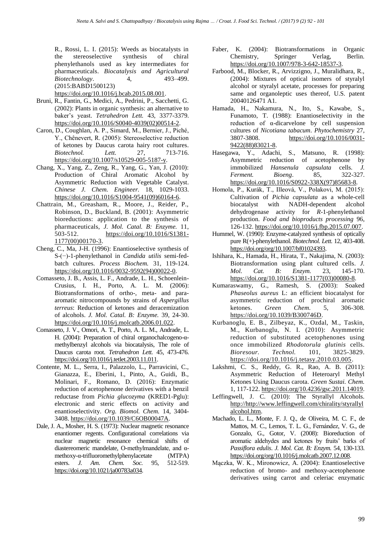R., Rossi, L. I. (2015): Weeds as biocatalysts in the stereoselective synthesis of chiral phenylethanols used as key intermediates for pharmaceuticals. *Biocatalysis and Agricultural Biotechnology.* 4, 493–499. (2015:BABD1500123)

[https://doi.org/10.1016/j.bcab.2015.08.001.](https://doi.org/10.1016/j.bcab.2015.08.001)

- Bruni, R., Fantin, G., Medici, A., Pedrini, P., Sacchetti, G. (2002): Plants in organic synthesis: an alternative to baker's yeast. *Tetrahedron Lett.* 43, 3377-3379. [https://doi.org/10.1016/S0040-4039\(02\)00514-2.](https://doi.org/10.1016/S0040-4039(02)00514-2)
- Caron, D., Coughlan, A. P., Simard, M., Bernier, J., Piché, Y., Chênevert, R. (2005): Stereoselective reduction of ketones by Daucus carota hairy root cultures.<br>Biotechnol. Lett. 27. 713-716. *Biotechnol. Lett.* 27, [https://doi.org/10.1007/s10529-005-5187-y.](https://doi.org/10.1007/s10529-005-5187-y)
- Chang, X., Yang, Z., Zeng, R., Yang, G., Yan, J. (2010): Production of Chiral Aromatic Alcohol by Asymmetric Reduction with Vegetable Catalyst. *Chinese J. Chem. Engineer.* 18, 1029-1033. [https://doi.org/10.1016/S1004-9541\(09\)60164-6.](https://doi.org/10.1016/S1004-9541(09)60164-6)
- Chattrain, M., Greasham, R., Moore, J., Reider, P., Robinson, D., Buckland, B. (2001): Asymmetric bioreductions: application to the synthesis of pharmaceuticals, *J. Mol. Catal. B: Enzyme.* 11, 503-512. [https://doi.org/10.1016/S1381-](https://doi.org/10.1016/S1381-1177(00)00170-3) [1177\(00\)00170-3.](https://doi.org/10.1016/S1381-1177(00)00170-3)
- Cheng, C., Ma, J-H. (1996): Enantioselective synthesis of S-(−)-1-phenylethanol in *Candida utilis* semi-fedbatch cultures. *Process Biochem.* 31, 119-124. [https://doi.org/10.1016/0032-9592\(94\)00022-0.](https://doi.org/10.1016/0032-9592(94)00022-0)
- Comasseto, J. B., Assis, L. F., Andrade, L. H., Schoenlein-Crusius, I. H., Porto, A. L. M. (2006): Biotransformations of ortho-, meta- and paraaromatic nitrocompounds by strains of *Aspergillus terreus*: Reduction of ketones and deracemization of alcohols. *J. Mol. Catal. B: Enzyme.* 39, 24-30. [https://doi.org/10.1016/j.molcatb.2006.01.022.](https://doi.org/10.1016/j.molcatb.2006.01.022)
- Comasseto, J. V., Omori, A. T., Porto, A. L. M., Andrade, L. H. (2004): Preparation of chiral organochalcogeno-αmethylbenzyl alcohols via biocatalysis, The role of Daucus carota root. *Tetrahedron Lett.* 45, 473-476. [https://doi.org/10.1016/j.tetlet.2003.11.011.](https://doi.org/10.1016/j.tetlet.2003.11.011)
- Contente, M. L., Serra, I., Palazzolo, L., Parravicini, C., Gianazza, E., Eberini, I., Pinto, A., Guidi, B., Molinari, F., Romano, D. (2016): Enzymatic reduction of acetophenone derivatives with a benzil reductase from *Pichia glucozyma* (KRED1-Pglu): electronic and steric effects on activity and enantioselectivity. *Org. Biomol. Chem.* 14, 3404- 3408. [https://doi.org/10.1039/C6OB00047A.](https://doi.org/10.1039/C6OB00047A)
- Dale, J. A., Mosher, H. S. (1973): Nuclear magnetic resonance enantiomer regents. Configurational correlations via nuclear magnetic resonance chemical shifts of diastereomeric mandelate, O-methylmandelate, and αmethoxy-α-trifluoromethylphenylacetate (MTPA) esters. *J. Am. Chem. Soc.* 95, 512-519. [https://doi.org/10.1021/ja00783a034.](https://doi.org/10.1021/ja00783a034)
- Faber, K. (2004): Biotransformations in Organic Chemistry, Springer Verlag, Berlin. [https://doi.org/10.1007/978-3-642-18537-3.](https://doi.org/10.1007/978-3-642-18537-3)
- Farbood, M., Blocker, R., Arvizzigno, J., Muralidhara, R., (2004): Mixtures of optical isomers of styralyl alcohol or styralyl acetate, processes for preparing same and organoleptic uses thereof, U.S. patent 20040126471 A1.
- Hamada, H., Nakamura, N., Ito, S., Kawabe, S., Funamoto, T. (1988): Enantioselectivity in the reduction of α-dicarvelone by cell suspension cultures of *Nicotiana tabacum*. *Phytochemistry* 27, 3807-3808. [https://doi.org/10.1016/0031-](https://doi.org/10.1016/0031-9422(88)83021-8) [9422\(88\)83021-8.](https://doi.org/10.1016/0031-9422(88)83021-8)
- Hasegawa, Y., Adachi, S., Matsuno, R. (1998): Asymmetric reduction of acetophenone by immobilized *Hansenula capsulata* cells. *J. Ferment. Bioeng*. 85, 322-327. [https://doi.org/10.1016/S0922-338X\(97\)85683-8.](https://doi.org/10.1016/S0922-338X(97)85683-8)
- Homola, P., Kurák, T., Illeová, V., Polakovi, M. (2015): Cultivation of *Pichia capsulata* as a whole-cell biocatalyst with NADH-dependent alcohol dehydrogenase activity for *R*-1-phenylethanol production. *Food and bioproducts processing* 96, 126-132[. https://doi.org/10.1016/j.fbp.2015.07.007.](https://doi.org/10.1016/j.fbp.2015.07.007)
- Hummel, W. (1990): Enzyme-catalyzed synthesis of optically pure R(+)-phenylethanol. *Biotechnol. Lett.* 12, 403-408. [https://doi.org/org/10.1007/bf01024393.](https://doi.org/org/10.1007/bf01024393)
- Ishihara, K., Hamada, H., Hirata, T., Nakajima, N. (2003): Biotransformation using plant cultured cells. *J. Mol. Cat. B: Enzym.* 23, 145-170. [https://doi.org/10.1016/S1381-1177\(03\)00080-8.](https://doi.org/10.1016/S1381-1177(03)00080-8)
- Kumaraswamy, G., Ramesh, S. (2003): Soaked *Phaseolus aureus* L: an efficient biocatalyst for asymmetric reduction of prochiral aromatic ketones. *Green Chem.* 5, 306-308. [https://doi.org/10.1039/B300746D.](https://doi.org/10.1039/B300746D)
- Kurbanoglu, E. B., Zilbeyaz, K., Ozdal, M., Taskin, M., Kurbanoglu, N. I. (2010): Asymmetric reduction of substituted acetophenones using once immobilized *Rhodotorula glutinis* cells. *Bioresour. Technol.* 101, 3825-3829. [https://doi.org/10.1016/j.tetasy.2010.03.005.](https://doi.org/10.1016/j.tetasy.2010.03.005)
- Lakshmi, C. S., Reddy, G. R., Rao, A. B. (2011): Asymmetric Reduction of Heteroaryl Methyl Ketones Using Daucus carota. *Green Sustai. Chem.* 1, 117-122. [https://doi.org/10.4236/gsc.2011.14019.](https://doi.org/10.4236/gsc.2011.14019)
- Leffingwell, J. C. (2010): The Styrallyl Alcohols. [http://http://www.leffingwell.com/chirality/styrallyl](http://http/www.leffingwell.com/chirality/styrallylalcohol.htm) [alcohol.htm.](http://http/www.leffingwell.com/chirality/styrallylalcohol.htm)
- Machado, L. L., Monte, F. J. Q., de Oliveira, M. C. F., de Mattos, M. C., Lemos, T. L. G., Fernández, V. G., de Gonzalo, G., Gotor, V. (2008): Bioreduction of aromatic aldehydes and ketones by fruits' barks of *Passiflora edulis*. *J. Mol. Cat. B: Enzym.* 54, 130-133. [https://doi.org/org/10.1016/j.molcatb.2007.12.008.](https://doi.org/org/10.1016/j.molcatb.2007.12.008)
- Mączka, W. K., Mironowicz, A. (2004): Enantioselective reduction of bromo- and methoxy-acetophenone derivatives using carrot and celeriac enzymatic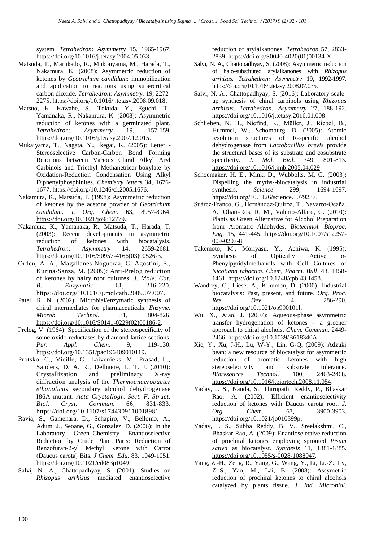system. *Tetrahedron: Asymmetry* 15, 1965-1967. [https://doi.org/10.1016/j.tetasy.2004.05.033.](https://doi.org/10.1016/j.tetasy.2004.05.033)

- Matsuda, T., Marukado, R., Mukouyama, M., Harada, T., Nakamura, K. (2008): Asymmetric reduction of ketones by *Geotrichum candidum*: immobilization and application to reactions using supercritical carbon dioxide. *Tetrahedron: Asymmetry.* 19, 2272- 2275. [https://doi.org/10.1016/j.tetasy.2008.09.018.](https://doi.org/10.1016/j.tetasy.2008.09.018)
- Matsuo, K. Kawabe, S., Tokuda, Y., Eguchi, T., Yamanaka, R., Nakamura, K. (2008): Asymmetric reduction of ketones with a germinated plant.<br> *Tetrahedron:* Asymmetry 19, 157-159. *Tetrahedron: Asymmetry* 19, [https://doi.org/10.1016/j.tetasy.2007.12.015.](https://doi.org/10.1016/j.tetasy.2007.12.015)
- Mukaiyama, T., Nagata, Y., Ikegai, K. (2005): Letter Stereoselective Carbon-Carbon Bond Forming Reactions between Various Chiral Alkyl Aryl Carbinois and Triethyl Methanetricar-boxylate by Oxidation-Reduction Condensation Using Alkyl Diphenylphosphinites. *Chemistry letters* 34, 1676- 1677[. https://doi.org/10.1246/cl.2005.1676.](https://doi.org/10.1246/cl.2005.1676)
- Nakamura, K., Matsuda, T. (1998): Asymmetric reduction of ketones by the acetone powder of *Geotrichum candidum*. *J. Org. Chem.* 63, 8957-8964. [https://doi.org/10.1021/jo9812779.](https://doi.org/10.1021/jo9812779)
- Nakamura, K., Yamanaka, R., Matsuda, T., Harada, T. (2003): Recent developments in asymmetric reduction of ketones with biocatalysts. *Tetrahedron: Asymmetry* 14, 2659-2681. [https://doi.org/10.1016/S0957-4166\(03\)00526-3.](https://doi.org/10.1016/S0957-4166(03)00526-3)
- Orden, A. A., Magallanes-Nogueraa, C. Agostini, E., Kurina-Sanza, M. (2009): Anti-Prelog reduction of ketones by hairy root cultures. *J. Mole. Cat. B: Enzymatic* 61, 216-220. [https://doi.org/10.1016/j.molcatb.2009.07.007.](https://doi.org/10.1016/j.molcatb.2009.07.007)
- Patel, R. N. (2002): Microbial/enzymatic synthesis of chiral intermediates for pharmaceuticals. *Enzyme. Microb. Technol.* 31, 804-826. [https://doi.org/10.1016/S0141-0229\(02\)00186-2.](https://doi.org/10.1016/S0141-0229(02)00186-2)
- Prelog, V. (1964): Specification of the stereospecificity of some oxido-reductases by diamond lattice sections. *Pur. Appl. Chem.* 9, 119-130. [https://doi.org/10.1351/pac196409010119.](https://doi.org/10.1351/pac196409010119)
- Protsko, C., Vieille, C., Laivenieks, M., Prasad, L., Sanders, D. A. R., Delbaere, L. T. J. (2010): Crystallization and preliminary X-ray diffraction analysis of the *Thermoanaerobacter ethanolicus* secondary alcohol dehydrogenase I86A mutant. *Acta Crystallogr. Sect. F. Struct. Biol. Cryst. Commun.* 66, 831-833. [https://doi.org/10.1107/s1744309110018981.](https://doi.org/10.1107/s1744309110018981)
- Ravia, S., Gamenara, D., Schapiro, V., Bellomo, A., Adum, J., Seoane, G., Gonzalez, D. (2006): In the Laboratory - Green Chemistry - Enantioselective Reduction by Crude Plant Parts: Reduction of Benzofuran-2-yl Methyl Ketone with Carrot (Daucus carota) Bits. *J Chem. Edu*. 83, 1049-1051. [https://doi.org/10.1021/ed083p1049.](https://doi.org/10.1021/ed083p1049)
- Salvi, N. A., Chattopadhyay, S. (2001): Studies on *Rhizopus arrhizus* mediated enantioselective

reduction of arylalkanones. *Tetrahedron* 57, 2833- 2839. [https://doi.org/S0040-4020\(01\)00134-X.](https://doi.org/S0040-4020(01)00134-X)

- Salvi, N. A., Chattopadhyay, S. (2008): Asymmetric reduction of halo-substituted arylalkanones with *Rhizopus arrhizus*. *Tetrahedron: Asymmetry* 19, 1992-1997. [https://doi.org/10.1016/j.tetasy.2008.07.035.](https://doi.org/10.1016/j.tetasy.2008.07.035)
- Salvi, N. A., Chattopadhyay, S. (2016): Laboratory scaleup synthesis of chiral carbinols using *Rhizopus arrhizus*. *Tetrahedron: Asymmetry* 27, 188-192. [https://doi.org/10.1016/j.tetasy.2016.01.008.](https://doi.org/10.1016/j.tetasy.2016.01.008)
- Schlieben, N. H., Niefind, K., Müller, J., Riebel, B., Hummel, W., Schomburg, D. (2005): Atomic resolution structures of R-specific alcohol dehydrogenase from *Lactobacillus brevis* provide the structural bases of its substrate and cosubstrate specificity. *J. Mol. Biol.* 349, 801-813. [https://doi.org/10.1016/j.jmb.2005.04.029.](https://doi.org/10.1016/j.jmb.2005.04.029)
- Schoemaker, H. E., Mink, D., Wubbolts, M. G. (2003): Dispelling the myths--biocatalysis in industrial synthesis. *Science* 299, 1694-1697. [https://doi.org/10.1126/science.1079237.](https://doi.org/10.1126/science.1079237)
- Suárez-Franco, G., Hernández-Quiroz, T., Navarro-Ocaña, A., Oliart-Ros, R. M., Valerio-Alfaro, G. (2010): Plants as Green Alternative for Alcohol Preparation from Aromatic Aldehydes. *Biotechnol. Bioproc. Eng.* 15, 441-445. [https://doi.org/10.1007/s12257-](https://doi.org/10.1007/s12257-009-0207-8) [009-0207-8.](https://doi.org/10.1007/s12257-009-0207-8)
- Takemoto, M., Moriyasu, Y., Achiwa, K. (1995): Synthesis of Optically Active  $\alpha$ -Phenylpyridylmethanols with Cell Cultures of *Nicotiana tabacum*. *Chem, Pharm. Bull*. 43, 1458- 1461. [https://doi.org/10.1248/cpb.43.1458.](https://doi.org/10.1248/cpb.43.1458)
- Wandrey, C., Liese. A., Kihumbu, D. (2000): Industrial biocatalysis: Past, present, and future. *Org. Proc. Res. Dev.* 4, 286-290. [https://doi.org/10.1021/op990101l.](https://doi.org/10.1021/op990101l)
- Wu, X., Xiao, J. (2007): Aqueous-phase asymmetric transfer hydrogenation of ketones – a greener approach to chiral alcohols. *Chem. Commun.* 2449- 2466. [https://doi.org/10.1039/B618340A.](https://doi.org/10.1039/B618340A)
- Xie, Y., Xu, J-H., Lu, W-Y., Lin, G-Q. (2009): Adzuki bean: a new resource of biocatalyst for asymmetric reduction of aromatic ketones with high stereoselectivity and substrate tolerance. *Bioresource Technol.* 100, 2463-2468. [https://doi.org/10.1016/j.biortech.2008.11.054.](https://doi.org/10.1016/j.biortech.2008.11.054)
- Yadav, J. S., Nanda, S., Thirupathi Reddy, P., Bhaskar Rao, A. (2002): Efficient enantioselectivity reduction of ketones with Daucus carota root. *J. Org. Chem.* 67, 3900-3903. [https://doi.org/10.1021/jo010399p.](https://doi.org/10.1021/jo010399p)
- Yadav, J. S., Subba Reddy, B. V., Sreelakshmi, C., Bhaskar Rao, A. (2009): Enantioselective reduction of prochiral ketones employing sprouted *Pisum sativa* as biocatalyst. *Synthesis* 11, 1881-1885. [https://doi.org/10.1055/s-0028-1088047.](https://doi.org/10.1055/s-0028-1088047)
- Yang, Z.-H., Zeng, R., Yang, G., Wang, Y., Li, Li.-Z., Lv, Z.-S., Yao, M., Lai, B. (2008): Assymetric reduction of prochiral ketones to chiral alcohols catalyzed by plants tissue. *J. Ind. Microbiol.*